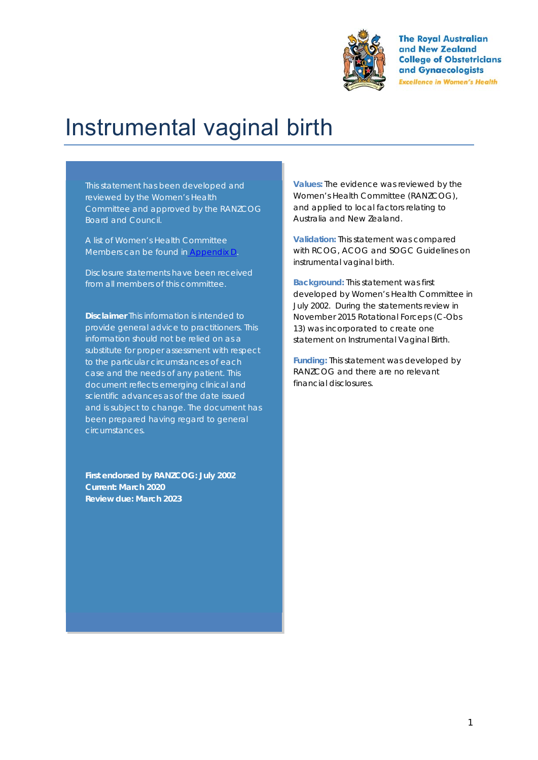

**The Royal Australian** and New Zealand **College of Obstetricians** and Gynaecologists **Excellence in Women's Health** 

# Instrumental vaginal birth

This statement has been developed and reviewed by the Women's Health Committee and approved by the RANZCOG Board and Council.

A list of Women's Health Committee Members can be found in Appendix D.

Disclosure statements have been received from all members of this committee.

**Disclaimer** This information is intended to provide general advice to practitioners. This information should not be relied on as a substitute for proper assessment with respect to the particular circumstances of each case and the needs of any patient. This document reflects emerging clinical and scientific advances as of the date issued and is subject to change. The document has been prepared having regard to general circumstances.

**First endorsed by RANZCOG: July 2002 Current: March 2020 Review due: March 2023** 

**Values:** The evidence was reviewed by the Women's Health Committee (RANZCOG), and applied to local factors relating to Australia and New Zealand.

**Validation:** This statement was compared with RCOG, ACOG and SOGC Guidelines on instrumental vaginal birth.

**Background:** This statement was first developed by Women's Health Committee in July 2002. During the statements review in November 2015 Rotational Forceps (C-Obs 13) was incorporated to create one statement on Instrumental Vaginal Birth.

**Funding:** This statement was developed by RANZCOG and there are no relevant financial disclosures.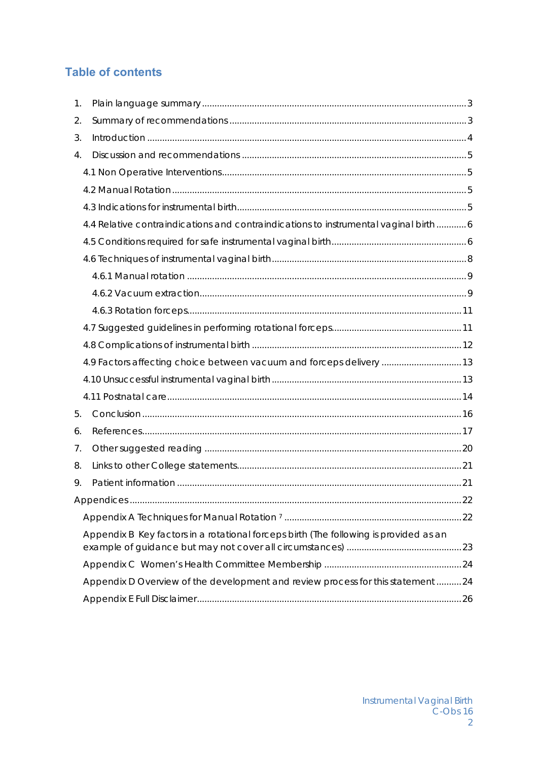# **Table of contents**

| $\mathbf{1}$ . |                                                                                       |  |
|----------------|---------------------------------------------------------------------------------------|--|
| 2.             |                                                                                       |  |
| 3.             |                                                                                       |  |
| 4.             |                                                                                       |  |
|                |                                                                                       |  |
|                |                                                                                       |  |
|                |                                                                                       |  |
|                | 4.4 Relative contraindications and contraindications to instrumental vaginal birth6   |  |
|                |                                                                                       |  |
|                |                                                                                       |  |
|                |                                                                                       |  |
|                |                                                                                       |  |
|                |                                                                                       |  |
|                |                                                                                       |  |
|                |                                                                                       |  |
|                | 4.9 Factors affecting choice between vacuum and forceps delivery  13                  |  |
|                |                                                                                       |  |
|                |                                                                                       |  |
| 5.             |                                                                                       |  |
| 6.             |                                                                                       |  |
| 7.             |                                                                                       |  |
| 8.             |                                                                                       |  |
| 9.             |                                                                                       |  |
|                |                                                                                       |  |
|                |                                                                                       |  |
|                | Appendix B Key factors in a rotational forceps birth (The following is provided as an |  |
|                |                                                                                       |  |
|                | Appendix D Overview of the development and review process for this statement 24       |  |
|                |                                                                                       |  |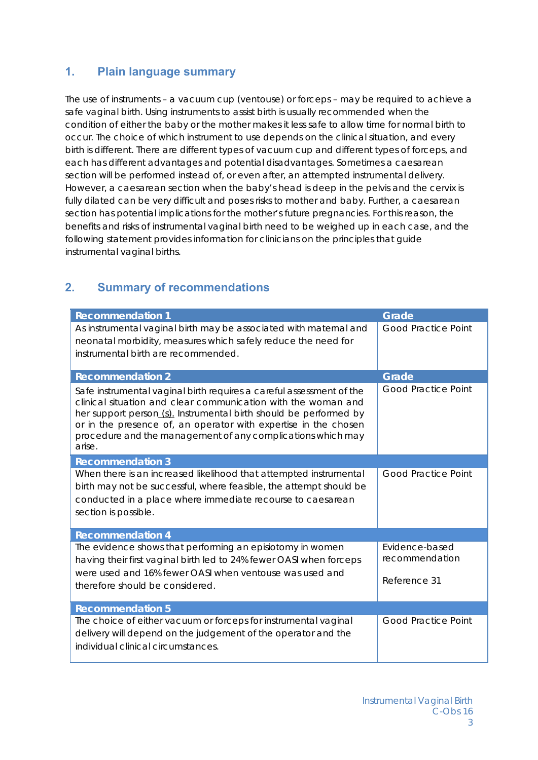## **1. Plain language summary**

The use of instruments – a vacuum cup (ventouse) or forceps – may be required to achieve a safe vaginal birth. Using instruments to assist birth is usually recommended when the condition of either the baby or the mother makes it less safe to allow time for normal birth to occur. The choice of which instrument to use depends on the clinical situation, and every birth is different. There are different types of vacuum cup and different types of forceps, and each has different advantages and potential disadvantages. Sometimes a caesarean section will be performed instead of, or even after, an attempted instrumental delivery. However, a caesarean section when the baby's head is deep in the pelvis and the cervix is fully dilated can be very difficult and poses risks to mother and baby. Further, a caesarean section has potential implications for the mother's future pregnancies. For this reason, the benefits and risks of instrumental vaginal birth need to be weighed up in each case, and the following statement provides information for clinicians on the principles that guide instrumental vaginal births.

# **2. Summary of recommendations**

| <b>Recommendation 1</b>                                                                                                                                                                                                                                                                                                                                | Grade                                            |
|--------------------------------------------------------------------------------------------------------------------------------------------------------------------------------------------------------------------------------------------------------------------------------------------------------------------------------------------------------|--------------------------------------------------|
| As instrumental vaginal birth may be associated with maternal and<br>neonatal morbidity, measures which safely reduce the need for<br>instrumental birth are recommended.                                                                                                                                                                              | <b>Good Practice Point</b>                       |
| <b>Recommendation 2</b>                                                                                                                                                                                                                                                                                                                                | Grade                                            |
| Safe instrumental vaginal birth requires a careful assessment of the<br>clinical situation and clear communication with the woman and<br>her support person (s). Instrumental birth should be performed by<br>or in the presence of, an operator with expertise in the chosen<br>procedure and the management of any complications which may<br>arise. | <b>Good Practice Point</b>                       |
| <b>Recommendation 3</b>                                                                                                                                                                                                                                                                                                                                |                                                  |
| When there is an increased likelihood that attempted instrumental<br>birth may not be successful, where feasible, the attempt should be<br>conducted in a place where immediate recourse to caesarean<br>section is possible.                                                                                                                          | <b>Good Practice Point</b>                       |
| <b>Recommendation 4</b>                                                                                                                                                                                                                                                                                                                                |                                                  |
| The evidence shows that performing an episiotomy in women<br>having their first vaginal birth led to 24% fewer OASI when forceps<br>were used and 16% fewer OASI when ventouse was used and<br>therefore should be considered.                                                                                                                         | Evidence-based<br>recommendation<br>Reference 31 |
| <b>Recommendation 5</b>                                                                                                                                                                                                                                                                                                                                |                                                  |
| The choice of either vacuum or forceps for instrumental vaginal<br>delivery will depend on the judgement of the operator and the<br>individual clinical circumstances.                                                                                                                                                                                 | <b>Good Practice Point</b>                       |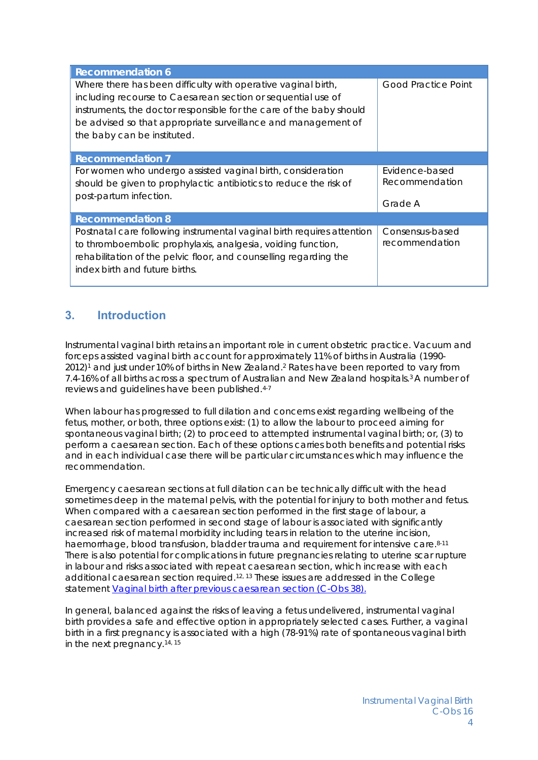| <b>Recommendation 6</b>                                                                                                                                                                                                                                                                              |                                             |
|------------------------------------------------------------------------------------------------------------------------------------------------------------------------------------------------------------------------------------------------------------------------------------------------------|---------------------------------------------|
| Where there has been difficulty with operative vaginal birth,<br>including recourse to Caesarean section or sequential use of<br>instruments, the doctor responsible for the care of the baby should<br>be advised so that appropriate surveillance and management of<br>the baby can be instituted. | <b>Good Practice Point</b>                  |
| <b>Recommendation 7</b>                                                                                                                                                                                                                                                                              |                                             |
| For women who undergo assisted vaginal birth, consideration<br>should be given to prophylactic antibiotics to reduce the risk of<br>post-partum infection.                                                                                                                                           | Evidence-based<br>Recommendation<br>Grade A |
| <b>Recommendation 8</b>                                                                                                                                                                                                                                                                              |                                             |
| Postnatal care following instrumental vaginal birth requires attention<br>to thromboembolic prophylaxis, analgesia, voiding function,<br>rehabilitation of the pelvic floor, and counselling regarding the<br>index birth and future births.                                                         | Consensus-based<br>recommendation           |

# **3. Introduction**

Instrumental vaginal birth retains an important role in current obstetric practice. Vacuum and forceps assisted vaginal birth account for approximately 11% of births in Australia (1990- 2012)1 and just under 10% of births in New Zealand.2 Rates have been reported to vary from 7.4-16% of all births across a spectrum of Australian and New Zealand hospitals.3 A number of reviews and guidelines have been published.4-7

When labour has progressed to full dilation and concerns exist regarding wellbeing of the fetus, mother, or both, three options exist: (1) to allow the labour to proceed aiming for spontaneous vaginal birth; (2) to proceed to attempted instrumental vaginal birth; or, (3) to perform a caesarean section. Each of these options carries both benefits and potential risks and in each individual case there will be particular circumstances which may influence the recommendation.

Emergency caesarean sections at full dilation can be technically difficult with the head sometimes deep in the maternal pelvis, with the potential for injury to both mother and fetus. When compared with a caesarean section performed in the first stage of labour, a caesarean section performed in second stage of labour is associated with significantly increased risk of maternal morbidity including tears in relation to the uterine incision, haemorrhage, blood transfusion, bladder trauma and requirement for intensive care.8-11 There is also potential for complications in future pregnancies relating to uterine scar rupture in labour and risks associated with repeat caesarean section, which increase with each additional caesarean section required.12, 13 These issues are addressed in the College statement *Vaginal birth after previous caesarean section (C-Obs 38)*.

In general, balanced against the risks of leaving a fetus undelivered, instrumental vaginal birth provides a safe and effective option in appropriately selected cases. Further, a vaginal birth in a first pregnancy is associated with a high (78-91%) rate of spontaneous vaginal birth in the next pregnancy.14, 15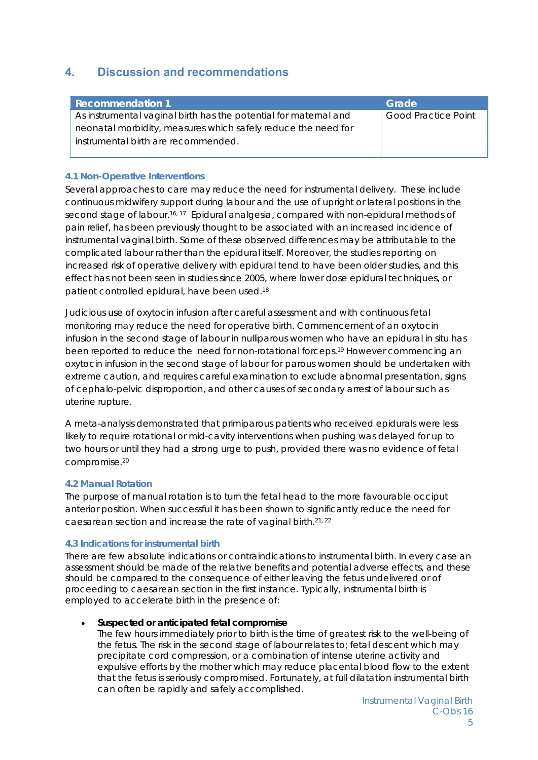# **4. Discussion and recommendations**

| <b>Recommendation 1</b>                                          | Grade                      |
|------------------------------------------------------------------|----------------------------|
| As instrumental vaginal birth has the potential for maternal and | <b>Good Practice Point</b> |
| neonatal morbidity, measures which safely reduce the need for    |                            |
| instrumental birth are recommended.                              |                            |
|                                                                  |                            |

#### **4.1 Non-Operative Interventions**

Several approaches to care may reduce the need for instrumental delivery. These include continuous midwifery support during labour and the use of upright or lateral positions in the second stage of labour.16, 17 Epidural analgesia, compared with non-epidural methods of pain relief, has been previously thought to be associated with an increased incidence of instrumental vaginal birth. Some of these observed differences may be attributable to the complicated labour rather than the epidural itself. Moreover, the studies reporting on increased risk of operative delivery with epidural tend to have been older studies, and this effect has not been seen in studies since 2005, where lower dose epidural techniques, or patient controlled epidural, have been used.18

Judicious use of oxytocin infusion after careful assessment and with continuous fetal monitoring may reduce the need for operative birth. Commencement of an oxytocin infusion in the second stage of labour in nulliparous women who have an epidural *in situ* has been reported to reduce the need for non-rotational forceps.19 However commencing an oxytocin infusion in the second stage of labour for parous women should be undertaken with extreme caution, and requires careful examination to exclude abnormal presentation, signs of cephalo-pelvic disproportion, and other causes of secondary arrest of labour such as uterine rupture.

A meta-analysis demonstrated that primiparous patients who received epidurals were less likely to require rotational or mid-cavity interventions when pushing was delayed for up to two hours or until they had a strong urge to push, provided there was no evidence of fetal compromise.20

#### **4.2 Manual Rotation**

The purpose of manual rotation is to turn the fetal head to the more favourable occiput anterior position. When successful it has been shown to significantly reduce the need for caesarean section and increase the rate of vaginal birth.21, 22

#### **4.3 Indications for instrumental birth**

There are few absolute indications or contraindications to instrumental birth. In every case an assessment should be made of the relative benefits and potential adverse effects, and these should be compared to the consequence of either leaving the fetus undelivered or of proceeding to caesarean section in the first instance. Typically, instrumental birth is employed to accelerate birth in the presence of:

#### **Suspected or anticipated fetal compromise**

The few hours immediately prior to birth is the time of greatest risk to the well-being of the fetus. The risk in the second stage of labour relates to; fetal descent which may precipitate cord compression, or a combination of intense uterine activity and expulsive efforts by the mother which may reduce placental blood flow to the extent that the fetus is seriously compromised. Fortunately, at full dilatation instrumental birth can often be rapidly and safely accomplished.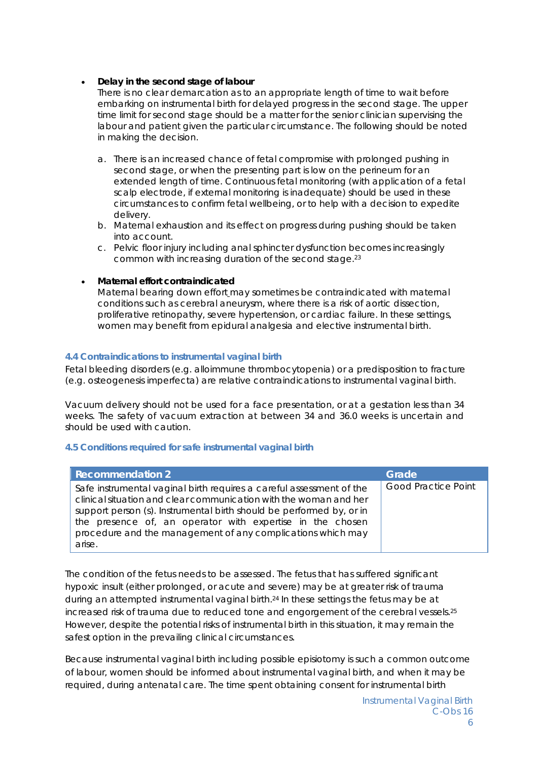#### **Delay in the second stage of labour**

There is no clear demarcation as to an appropriate length of time to wait before embarking on instrumental birth for delayed progress in the second stage. The upper time limit for second stage should be a matter for the senior clinician supervising the labour and patient given the particular circumstance. The following should be noted in making the decision.

- a. There is an increased chance of fetal compromise with prolonged pushing in second stage, or when the presenting part is low on the perineum for an extended length of time. Continuous fetal monitoring (with application of a fetal scalp electrode, if external monitoring is inadequate) should be used in these circumstances to confirm fetal wellbeing, or to help with a decision to expedite delivery.
- b. Maternal exhaustion and its effect on progress during pushing should be taken into account.
- c. Pelvic floor injury including anal sphincter dysfunction becomes increasingly common with increasing duration of the second stage.23

#### **Maternal effort contraindicated**

Maternal bearing down effort may sometimes be contraindicated with maternal conditions such as cerebral aneurysm, where there is a risk of aortic dissection, proliferative retinopathy, severe hypertension, or cardiac failure. In these settings, women may benefit from epidural analgesia and elective instrumental birth.

#### **4.4 Contraindications to instrumental vaginal birth**

Fetal bleeding disorders (e.g. alloimmune thrombocytopenia) or a predisposition to fracture (e.g. osteogenesis imperfecta) are relative contraindications to instrumental vaginal birth.

Vacuum delivery should not be used for a face presentation, or at a gestation less than 34 weeks. The safety of vacuum extraction at between 34 and 36.0 weeks is uncertain and should be used with caution.

#### **4.5 Conditions required for safe instrumental vaginal birth**

| <b>Recommendation 2</b>                                                                                                                                                                                                                                                                                                                                 | Grade                      |
|---------------------------------------------------------------------------------------------------------------------------------------------------------------------------------------------------------------------------------------------------------------------------------------------------------------------------------------------------------|----------------------------|
| Safe instrumental vaginal birth requires a careful assessment of the<br>clinical situation and clear communication with the woman and her<br>support person (s). Instrumental birth should be performed by, or in<br>the presence of, an operator with expertise in the chosen<br>procedure and the management of any complications which may<br>arise. | <b>Good Practice Point</b> |

The condition of the fetus needs to be assessed. The fetus that has suffered significant hypoxic insult (either prolonged, or acute and severe) may be at greater risk of trauma during an attempted instrumental vaginal birth.24 In these settings the fetus may be at increased risk of trauma due to reduced tone and engorgement of the cerebral vessels.<sup>25</sup> However, despite the potential risks of instrumental birth in this situation, it may remain the safest option in the prevailing clinical circumstances.

Because instrumental vaginal birth including possible episiotomy is such a common outcome of labour, women should be informed about instrumental vaginal birth, and when it may be required, during antenatal care. The time spent obtaining consent for instrumental birth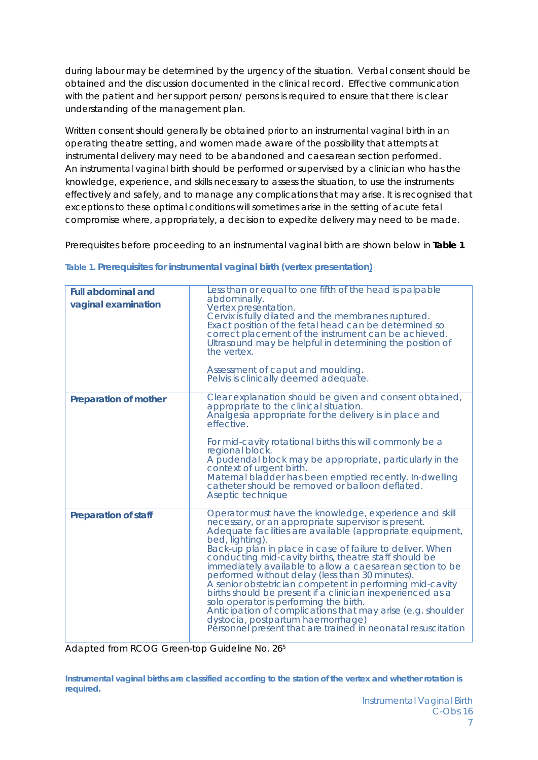during labour may be determined by the urgency of the situation. Verbal consent should be obtained and the discussion documented in the clinical record. Effective communication with the patient and her support person/ persons is required to ensure that there is clear understanding of the management plan.

Written consent should generally be obtained prior to an instrumental vaginal birth in an operating theatre setting, and women made aware of the possibility that attempts at instrumental delivery may need to be abandoned and caesarean section performed. An instrumental vaginal birth should be performed or supervised by a clinician who has the knowledge, experience, and skills necessary to assess the situation, to use the instruments effectively and safely, and to manage any complications that may arise. It is recognised that exceptions to these optimal conditions will sometimes arise in the setting of acute fetal compromise where, appropriately, a decision to expedite delivery may need to be made.

Prerequisites before proceeding to an instrumental vaginal birth are shown below in **Table 1**

| <b>Full abdominal and</b><br>vaginal examination | Less than or equal to one fifth of the head is palpable<br>abdominally.<br>Vertex presentation.<br>Cervix is fully dilated and the membranes ruptured.<br>Exact position of the fetal head can be determined so<br>correct placement of the instrument can be achieved.<br>Ultrasound may be helpful in determining the position of<br>the vertex.<br>Assessment of caput and moulding.<br>Pelvis is clinically deemed adequate.                                                                                                                                                                                                                                                                                                                                           |
|--------------------------------------------------|----------------------------------------------------------------------------------------------------------------------------------------------------------------------------------------------------------------------------------------------------------------------------------------------------------------------------------------------------------------------------------------------------------------------------------------------------------------------------------------------------------------------------------------------------------------------------------------------------------------------------------------------------------------------------------------------------------------------------------------------------------------------------|
| Preparation of mother                            | Clear explanation should be given and consent obtained,<br>appropriate to the clinical situation.<br>Analgesia appropriate for the delivery is in place and<br>effective.<br>For mid-cavity rotational births this will commonly be a<br>regional block.<br>A pudendal block may be appropriate, particularly in the<br>context of urgent birth.<br>Maternal bladder has been emptied recently. In-dwelling<br>catheter should be removed or balloon deflated.<br>Aseptic technique                                                                                                                                                                                                                                                                                        |
| <b>Preparation of staff</b>                      | Operator must have the knowledge, experience and skill<br>necessary, or an appropriate supervisor is present.<br>Adequate facilities are available (appropriate equipment,<br>bed, lighting).<br>Back-up plan in place in case of failure to deliver. When<br>conducting mid-cavity births, theatre staff should be<br>immediately available to allow a caesarean section to be<br>performed without delay (less than 30 minutes).<br>A senior obstetrician competent in performing mid-cavity<br>births should be present if a clinician inexperienced as a<br>solo operator is performing the birth.<br>Anticipation of complications that may arise (e.g. shoulder<br>dystocia, postpartum haemorrhage)<br>Personnel present that are trained in neonatal resuscitation |

|  | Table 1. Prerequisites for instrumental vaginal birth (vertex presentation) |  |  |
|--|-----------------------------------------------------------------------------|--|--|
|  |                                                                             |  |  |
|  |                                                                             |  |  |
|  |                                                                             |  |  |

Adapted from RCOG Green-top Guideline No. 265

**Instrumental vaginal births are classified according to the station of the vertex and whether rotation is required.**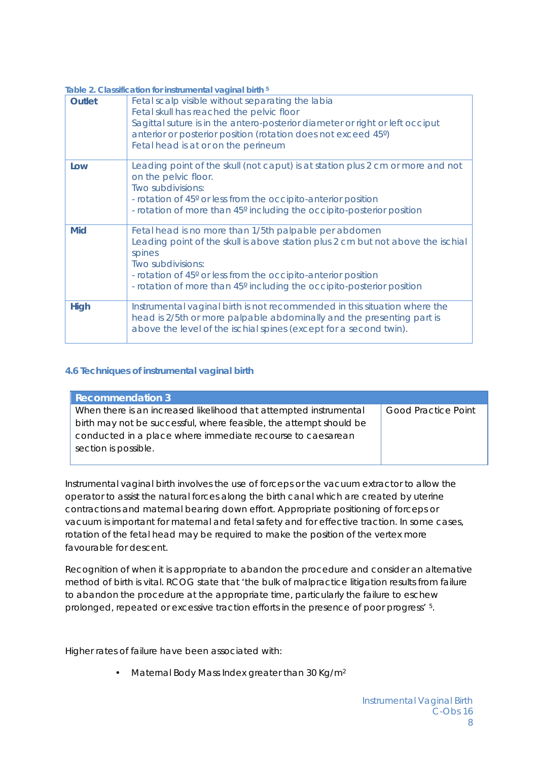| Table 2. Classification for instrumental vaginal birth <sup>5</sup> |                                                                                                                                                                                                                                                                                                                   |  |  |
|---------------------------------------------------------------------|-------------------------------------------------------------------------------------------------------------------------------------------------------------------------------------------------------------------------------------------------------------------------------------------------------------------|--|--|
| <b>Outlet</b>                                                       | Fetal scalp visible without separating the labia<br>Fetal skull has reached the pelvic floor<br>Sagittal suture is in the antero-posterior diameter or right or left occiput<br>anterior or posterior position (rotation does not exceed 45°)<br>Fetal head is at or on the perineum                              |  |  |
| Low                                                                 | Leading point of the skull (not caput) is at station plus 2 cm or more and not<br>on the pelvic floor.<br>Two subdivisions:<br>- rotation of 45° or less from the occipito-anterior position<br>- rotation of more than 45° including the occipito-posterior position                                             |  |  |
| Mid                                                                 | Fetal head is no more than 1/5th palpable per abdomen<br>Leading point of the skull is above station plus 2 cm but not above the ischial<br>spines<br>Two subdivisions:<br>- rotation of 45° or less from the occipito-anterior position<br>- rotation of more than 45° including the occipito-posterior position |  |  |
| <b>High</b>                                                         | Instrumental vaginal birth is not recommended in this situation where the<br>head is 2/5th or more palpable abdominally and the presenting part is<br>above the level of the ischial spines (except for a second twin).                                                                                           |  |  |

#### **4.6 Techniques of instrumental vaginal birth**

| <b>Recommendation 3</b>                                            |                            |
|--------------------------------------------------------------------|----------------------------|
| When there is an increased likelihood that attempted instrumental  | <b>Good Practice Point</b> |
| birth may not be successful, where feasible, the attempt should be |                            |
| conducted in a place where immediate recourse to caesarean         |                            |
| section is possible.                                               |                            |
|                                                                    |                            |

Instrumental vaginal birth involves the use of forceps or the vacuum extractor to allow the operator to assist the natural forces along the birth canal which are created by uterine contractions and maternal bearing down effort. Appropriate positioning of forceps or vacuum is important for maternal and fetal safety and for effective traction. In some cases, rotation of the fetal head may be required to make the position of the vertex more favourable for descent.

Recognition of when it is appropriate to abandon the procedure and consider an alternative method of birth is vital. RCOG state that 'the bulk of malpractice litigation results from failure to abandon the procedure at the appropriate time, particularly the failure to eschew prolonged, repeated or excessive traction efforts in the presence of poor progress' 5.

Higher rates of failure have been associated with:

• Maternal Body Mass Index greater than 30 Kg/m<sup>2</sup>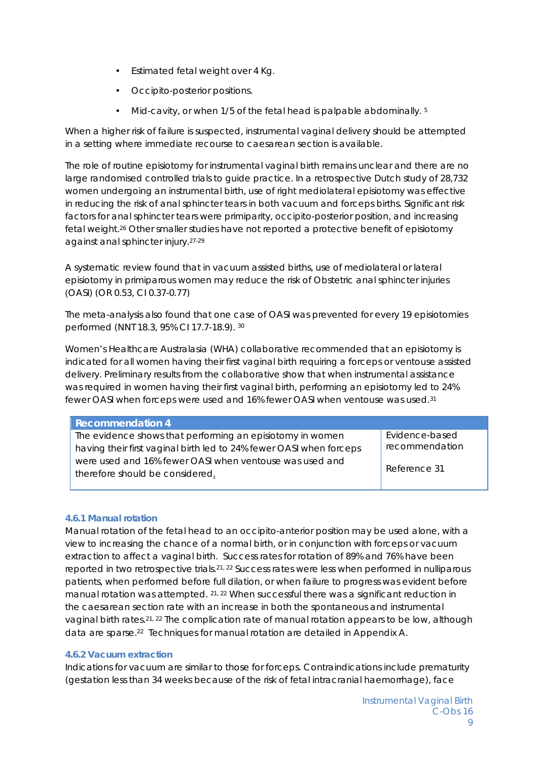- Estimated fetal weight over 4 Kg.
- Occipito-posterior positions.
- Mid-cavity, or when 1/5 of the fetal head is palpable abdominally. <sup>5</sup>

When a higher risk of failure is suspected, instrumental vaginal delivery should be attempted in a setting where immediate recourse to caesarean section is available.

The role of routine episiotomy for instrumental vaginal birth remains unclear and there are no large randomised controlled trials to guide practice. In a retrospective Dutch study of 28,732 women undergoing an instrumental birth, use of right mediolateral episiotomy was effective in reducing the risk of anal sphincter tears in both vacuum and forceps births. Significant risk factors for anal sphincter tears were primiparity, occipito-posterior position, and increasing fetal weight.26 Other smaller studies have not reported a protective benefit of episiotomy against anal sphincter injury.27-29

A systematic review found that in vacuum assisted births, use of mediolateral or lateral episiotomy in primiparous women may reduce the risk of Obstetric anal sphincter injuries (OASI) (OR 0.53, CI 0.37-0.77)

The meta-analysis also found that one case of OASI was prevented for every 19 episiotomies performed (NNT 18.3, 95% CI 17.7-18.9). 30

Women's Healthcare Australasia (WHA) collaborative recommended that an episiotomy is indicated for all women having their first vaginal birth requiring a forceps or ventouse assisted delivery. Preliminary results from the collaborative show that when instrumental assistance was required in women having their first vaginal birth, performing an episiotomy led to 24% fewer OASI when forceps were used and 16% fewer OASI when ventouse was used.31

| <b>Recommendation 4</b>                                             |                |  |
|---------------------------------------------------------------------|----------------|--|
| The evidence shows that performing an episiotomy in women           | Evidence-based |  |
| having their first vaginal birth led to 24% fewer OASI when forceps | recommendation |  |
| were used and 16% fewer OASI when ventouse was used and             |                |  |
| therefore should be considered.                                     | Reference 31   |  |
|                                                                     |                |  |

#### *4.6.1 Manual rotation*

Manual rotation of the fetal head to an occipito-anterior position may be used alone, with a view to increasing the chance of a normal birth, or in conjunction with forceps or vacuum extraction to affect a vaginal birth. Success rates for rotation of 89% and 76% have been reported in two retrospective trials.21, 22 Success rates were less when performed in nulliparous patients, when performed before full dilation, or when failure to progress was evident before manual rotation was attempted. 21, 22 When successful there was a significant reduction in the caesarean section rate with an increase in both the spontaneous and instrumental vaginal birth rates.21, 22 The complication rate of manual rotation appears to be low, although data are sparse.22 Techniques for manual rotation are detailed in Appendix A.

#### *4.6.2 Vacuum extraction*

Indications for vacuum are similar to those for forceps. Contraindications include prematurity (gestation less than 34 weeks because of the risk of fetal intracranial haemorrhage), face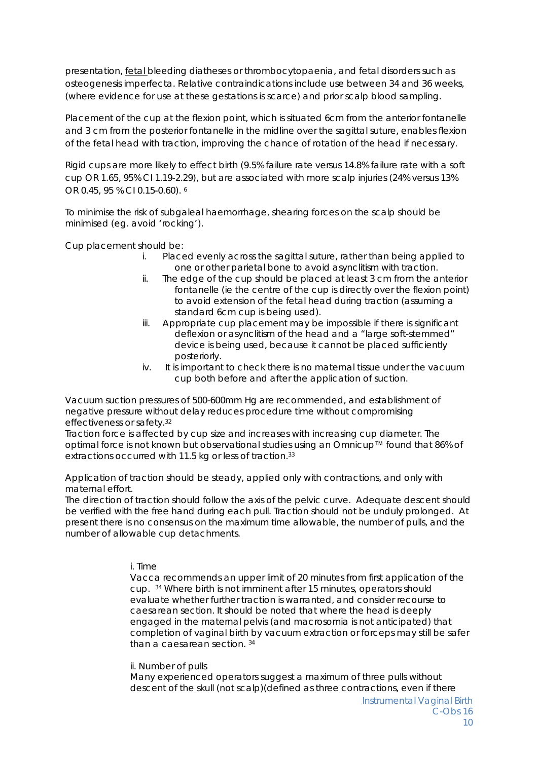presentation, fetal bleeding diatheses or thrombocytopaenia, and fetal disorders such as osteogenesis imperfecta. Relative contraindications include use between 34 and 36 weeks, (where evidence for use at these gestations is scarce) and prior scalp blood sampling.

Placement of the cup at the flexion point, which is situated 6cm from the anterior fontanelle and 3 cm from the posterior fontanelle in the midline over the sagittal suture, enables flexion of the fetal head with traction, improving the chance of rotation of the head if necessary.

Rigid cups are more likely to effect birth (9.5% failure rate versus 14.8% failure rate with a soft cup OR 1.65, 95% CI 1.19-2.29), but are associated with more scalp injuries (24% versus 13% OR 0.45, 95 % CI 0.15-0.60). 6

To minimise the risk of subgaleal haemorrhage, shearing forces on the scalp should be minimised (eg. avoid 'rocking').

Cup placement should be:

- i. Placed evenly across the sagittal suture, rather than being applied to one or other parietal bone to avoid asynclitism with traction.
- ii. The edge of the cup should be placed at least 3 cm from the anterior fontanelle (ie the centre of the cup is directly over the flexion point) to avoid extension of the fetal head during traction (assuming a standard 6cm cup is being used).
- iii. Appropriate cup placement may be impossible if there is significant deflexion or asynclitism of the head and a "large soft-stemmed" device is being used, because it cannot be placed sufficiently posteriorly.
- iv. It is important to check there is no maternal tissue under the vacuum cup both before and after the application of suction.

Vacuum suction pressures of 500-600mm Hg are recommended, and establishment of negative pressure without delay reduces procedure time without compromising effectiveness or safety.32

Traction force is affected by cup size and increases with increasing cup diameter. The optimal force is not known but observational studies using an Omnicup™ found that 86% of extractions occurred with 11.5 kg or less of traction.<sup>33</sup>

Application of traction should be steady, applied only with contractions, and only with maternal effort.

The direction of traction should follow the axis of the pelvic curve. Adequate descent should be verified with the free hand during each pull. Traction should not be unduly prolonged. At present there is no consensus on the maximum time allowable, the number of pulls, and the number of allowable cup detachments.

i. Time

Vacca recommends an upper limit of 20 minutes from first application of the cup. 34 Where birth is not imminent after 15 minutes, operators should evaluate whether further traction is warranted, and consider recourse to caesarean section. It should be noted that where the head is deeply engaged in the maternal pelvis (and macrosomia is not anticipated) that completion of vaginal birth by vacuum extraction or forceps may still be safer than a caesarean section. 34

ii. Number of pulls

Many experienced operators suggest a maximum of three pulls without descent of the skull (not scalp)(defined as three contractions, even if there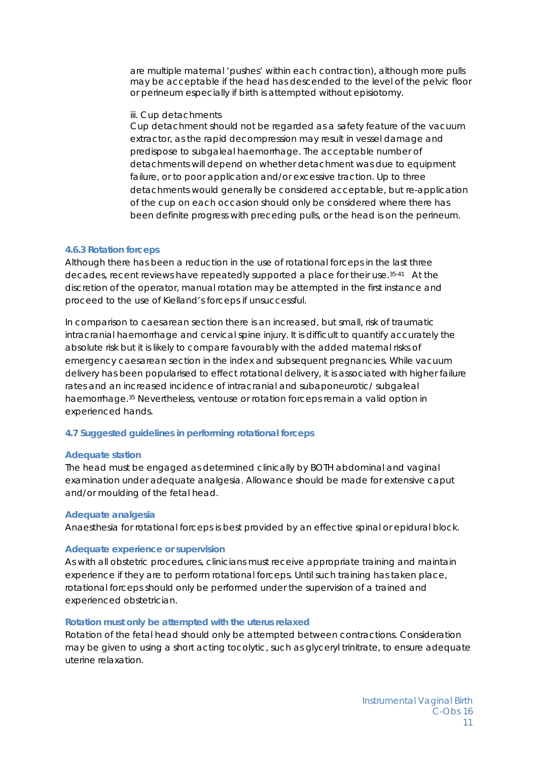are multiple maternal 'pushes' within each contraction), although more pulls may be acceptable if the head has descended to the level of the pelvic floor or perineum especially if birth is attempted without episiotomy.

#### iii. Cup detachments

Cup detachment should not be regarded as a safety feature of the vacuum extractor, as the rapid decompression may result in vessel damage and predispose to subgaleal haemorrhage. The acceptable number of detachments will depend on whether detachment was due to equipment failure, or to poor application and/or excessive traction. Up to three detachments would generally be considered acceptable, but re-application of the cup on each occasion should only be considered where there has been definite progress with preceding pulls, or the head is on the perineum.

#### *4.6.3 Rotation forceps*

Although there has been a reduction in the use of rotational forceps in the last three decades, recent reviews have repeatedly supported a place for their use.35-41 At the discretion of the operator, manual rotation may be attempted in the first instance and proceed to the use of Kielland's forceps if unsuccessful.

In comparison to caesarean section there is an increased, but small, risk of traumatic intracranial haemorrhage and cervical spine injury. It is difficult to quantify accurately the absolute risk but it is likely to compare favourably with the added maternal risks of emergency caesarean section in the index and subsequent pregnancies. While vacuum delivery has been popularised to effect rotational delivery, it is associated with higher failure rates and an increased incidence of intracranial and subaponeurotic/ subgaleal haemorrhage.35 Nevertheless, ventouse or rotation forceps remain a valid option in experienced hands.

#### *4.7 Suggested guidelines in performing rotational forceps*

#### **Adequate station**

The head must be engaged as determined clinically by BOTH abdominal and vaginal examination under adequate analgesia. Allowance should be made for extensive caput and/or moulding of the fetal head.

#### **Adequate analgesia**

Anaesthesia for rotational forceps is best provided by an effective spinal or epidural block.

#### **Adequate experience or supervision**

As with all obstetric procedures, clinicians must receive appropriate training and maintain experience if they are to perform rotational forceps. Until such training has taken place, rotational forceps should only be performed under the supervision of a trained and experienced obstetrician.

#### **Rotation must only be attempted with the uterus relaxed**

Rotation of the fetal head should only be attempted between contractions. Consideration may be given to using a short acting tocolytic, such as glyceryl trinitrate, to ensure adequate uterine relaxation.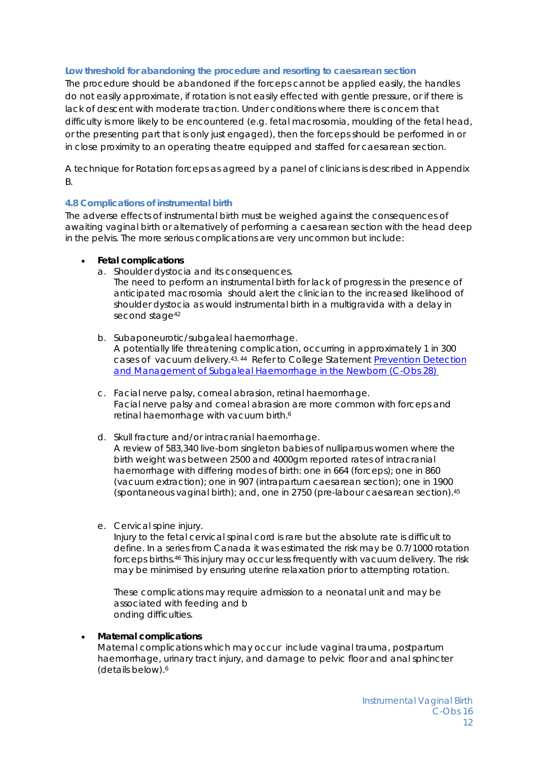#### **Low threshold for abandoning the procedure and resorting to caesarean section**

The procedure should be abandoned if the forceps cannot be applied easily, the handles do not easily approximate, if rotation is not easily effected with gentle pressure, or if there is lack of descent with moderate traction. Under conditions where there is concern that difficulty is more likely to be encountered (e.g. fetal macrosomia, moulding of the fetal head, or the presenting part that is only just engaged), then the forceps should be performed in or in close proximity to an operating theatre equipped and staffed for caesarean section.

A technique for Rotation forceps as agreed by a panel of clinicians is described in Appendix B.

#### **4.8 Complications of instrumental birth**

The adverse effects of instrumental birth must be weighed against the consequences of awaiting vaginal birth or alternatively of performing a caesarean section with the head deep in the pelvis. The more serious complications are very uncommon but include:

#### **Fetal complications**

a. Shoulder dystocia and its consequences.

The need to perform an instrumental birth for lack of progress in the presence of anticipated macrosomia should alert the clinician to the increased likelihood of shoulder dystocia as would instrumental birth in a multigravida with a delay in second stage<sup>42</sup>

- b. Subaponeurotic/subgaleal haemorrhage. A potentially life threatening complication, occurring in approximately 1 in 300 cases of vacuum delivery.43, 44 Refer to College Statement *Prevention Detection and Management of Subgaleal Haemorrhage in the Newborn (C-Obs 28)*
- c. Facial nerve palsy, corneal abrasion, retinal haemorrhage. Facial nerve palsy and corneal abrasion are more common with forceps and retinal haemorrhage with vacuum birth.<sup>6</sup>
- d. Skull fracture and/or intracranial haemorrhage. A review of 583,340 live-born singleton babies of nulliparous women where the birth weight was between 2500 and 4000gm reported rates of intracranial haemorrhage with differing modes of birth: one in 664 (forceps); one in 860 (vacuum extraction); one in 907 (intrapartum caesarean section); one in 1900 (spontaneous vaginal birth); and, one in 2750 (pre-labour caesarean section).45
- e. Cervical spine injury.

Injury to the fetal cervical spinal cord is rare but the absolute rate is difficult to define. In a series from Canada it was estimated the risk may be 0.7/1000 rotation forceps births.46 This injury may occur less frequently with vacuum delivery. The risk may be minimised by ensuring uterine relaxation prior to attempting rotation.

These complications may require admission to a neonatal unit and may be associated with feeding and b onding difficulties.

#### **Maternal complications**

Maternal complications which may occur include vaginal trauma, postpartum haemorrhage, urinary tract injury, and damage to pelvic floor and anal sphincter (details below).6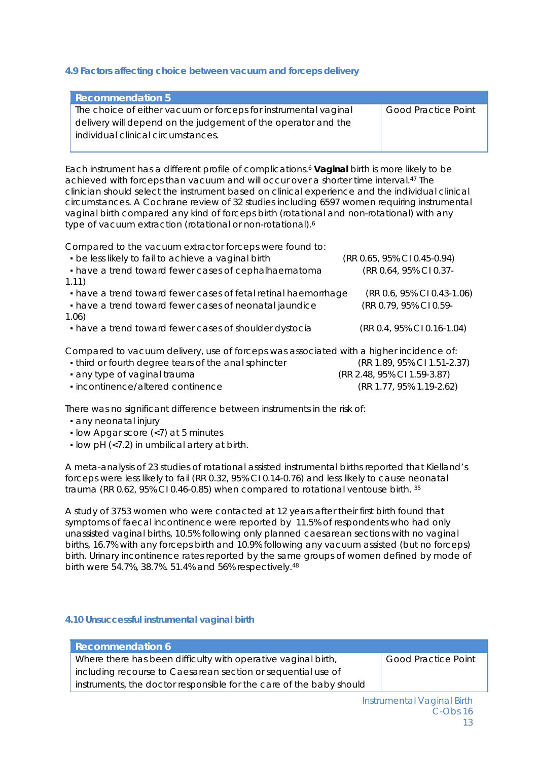#### **4.9 Factors affecting choice between vacuum and forceps delivery**

| <b>Good Practice Point</b> |
|----------------------------|
|                            |
|                            |
|                            |

Each instrument has a different profile of complications.6 **Vaginal** birth is more likely to be achieved with forceps than vacuum and will occur over a shorter time interval.47 The clinician should select the instrument based on clinical experience and the individual clinical circumstances. A Cochrane review of 32 studies including 6597 women requiring instrumental vaginal birth compared any kind of forceps birth (rotational and non-rotational) with any type of vacuum extraction (rotational or non-rotational).6

Compared to the vacuum extractor forceps were found to:

| • be less likely to fail to achieve a vaginal birth                                    | (RR 0.65, 95% CI 0.45-0.94) |
|----------------------------------------------------------------------------------------|-----------------------------|
| • have a trend toward fewer cases of cephalhaematoma                                   | (RR 0.64, 95% CI 0.37-      |
| 1.11)                                                                                  |                             |
| • have a trend toward fewer cases of fetal retinal haemorrhage                         | (RR 0.6, 95% CI 0.43-1.06)  |
| • have a trend toward fewer cases of neonatal jaundice                                 | (RR 0.79, 95% CI 0.59-      |
| 1.06)                                                                                  |                             |
| • have a trend toward fewer cases of shoulder dystocia                                 | (RR 0.4, 95% CI 0.16-1.04)  |
| Compared to vacuum delivery, use of forceps was associated with a higher incidence of: |                             |
| • third or fourth degree tears of the anal sphincter                                   | (RR 1.89, 95% CI 1.51-2.37) |
| • any type of vaginal trauma                                                           | (RR 2.48, 95% CI 1.59-3.87) |
| · incontinence/altered continence                                                      | (RR 1.77, 95% 1.19-2.62)    |

There was no significant difference between instruments in the risk of:

- any neonatal injury
- low Apgar score (<7) at 5 minutes
- low pH (<7.2) in umbilical artery at birth.

A meta-analysis of 23 studies of rotational assisted instrumental births reported that Kielland's forceps were less likely to fail (RR 0.32, 95% CI 0.14-0.76) and less likely to cause neonatal trauma (RR 0.62, 95% CI 0.46-0.85) when compared to rotational ventouse birth. 35

A study of 3753 women who were contacted at 12 years after their first birth found that symptoms of faecal incontinence were reported by 11.5% of respondents who had only unassisted vaginal births, 10.5% following only planned caesarean sections with no vaginal births, 16.7% with any forceps birth and 10.9% following any vacuum assisted (but no forceps) birth. Urinary incontinence rates reported by the same groups of women defined by mode of birth were 54.7%, 38.7%. 51.4% and 56% respectively.48

#### **4.10 Unsuccessful instrumental vaginal birth**

| Recommendation 6                                                    |                            |
|---------------------------------------------------------------------|----------------------------|
| Where there has been difficulty with operative vaginal birth,       | <b>Good Practice Point</b> |
| including recourse to Caesarean section or sequential use of        |                            |
| instruments, the doctor responsible for the care of the baby should |                            |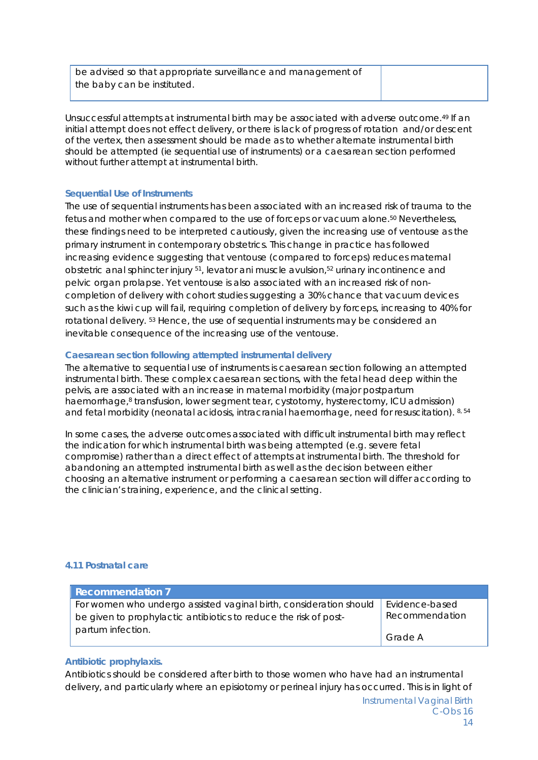be advised so that appropriate surveillance and management of the baby can be instituted.

Unsuccessful attempts at instrumental birth may be associated with adverse outcome.49 If an initial attempt does not effect delivery, or there is lack of progress of rotation and/or descent of the vertex, then assessment should be made as to whether alternate instrumental birth should be attempted (ie sequential use of instruments) or a caesarean section performed without further attempt at instrumental birth.

#### *Sequential Use of Instruments*

The use of sequential instruments has been associated with an increased risk of trauma to the fetus and mother when compared to the use of forceps or vacuum alone.50 Nevertheless, these findings need to be interpreted cautiously, given the increasing use of ventouse as the primary instrument in contemporary obstetrics. This change in practice has followed increasing evidence suggesting that ventouse (compared to forceps) reduces maternal obstetric anal sphincter injury <sup>51</sup>, levator ani muscle avulsion,<sup>52</sup> urinary incontinence and pelvic organ prolapse. Yet ventouse is also associated with an increased risk of noncompletion of delivery with cohort studies suggesting a 30% chance that vacuum devices such as the kiwi cup will fail, requiring completion of delivery by forceps, increasing to 40% for rotational delivery. 53 Hence, the use of sequential instruments may be considered an inevitable consequence of the increasing use of the ventouse.

#### *Caesarean section following attempted instrumental delivery*

The alternative to sequential use of instruments is caesarean section following an attempted instrumental birth. These complex caesarean sections, with the fetal head deep within the pelvis, are associated with an increase in maternal morbidity (major postpartum haemorrhage,<sup>8</sup> transfusion, lower segment tear, cystotomy, hysterectomy, ICU admission) and fetal morbidity (neonatal acidosis, intracranial haemorrhage, need for resuscitation). 8, 54

In some cases, the adverse outcomes associated with difficult instrumental birth may reflect the indication for which instrumental birth was being attempted (e.g. severe fetal compromise) rather than a direct effect of attempts at instrumental birth. The threshold for abandoning an attempted instrumental birth as well as the decision between either choosing an alternative instrument or performing a caesarean section will differ according to the clinician's training, experience, and the clinical setting.

#### **4.11 Postnatal care**

| <b>Recommendation 7</b>                                            |                |
|--------------------------------------------------------------------|----------------|
| For women who undergo assisted vaginal birth, consideration should | Evidence-based |
| be given to prophylactic antibiotics to reduce the risk of post-   | Recommendation |
| partum infection.                                                  | Grade A        |

#### *Antibiotic prophylaxis.*

Antibiotics should be considered after birth to those women who have had an instrumental delivery, and particularly where an episiotomy or perineal injury has occurred. This is in light of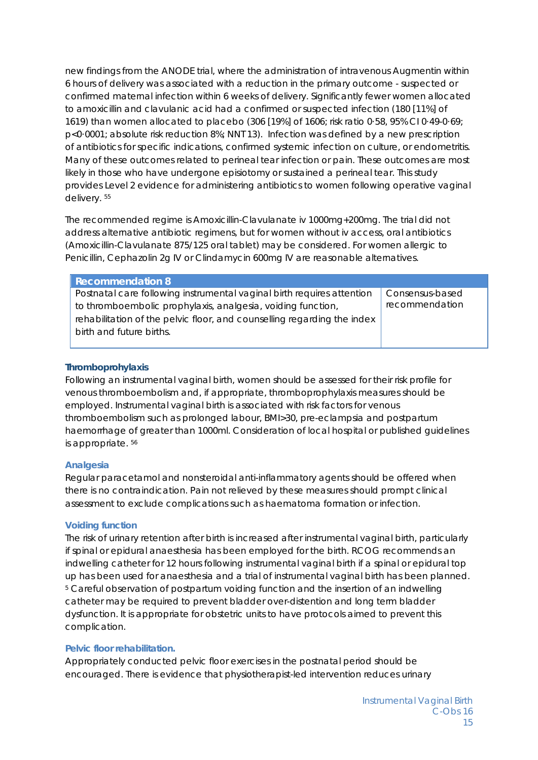new findings from the ANODE trial, where the administration of intravenous Augmentin within 6 hours of delivery was associated with a reduction in the primary outcome - suspected or confirmed maternal infection within 6 weeks of delivery. Significantly fewer women allocated to amoxicillin and clavulanic acid had a confirmed or suspected infection (180 [11%] of 1619) than women allocated to placebo (306 [19%] of 1606; risk ratio 0·58, 95% CI 0·49-0·69; p<0·0001; absolute risk reduction 8%; NNT 13). Infection was defined by a new prescription of antibiotics for specific indications, confirmed systemic infection on culture, or endometritis. Many of these outcomes related to perineal tear infection or pain. These outcomes are most likely in those who have undergone episiotomy or sustained a perineal tear. This study provides Level 2 evidence for administering antibiotics to women following operative vaginal delivery. 55

The recommended regime is Amoxicillin-Clavulanate iv 1000mg+200mg. The trial did not address alternative antibiotic regimens, but for women without iv access, oral antibiotics (Amoxicillin-Clavulanate 875/125 oral tablet) may be considered. For women allergic to Penicillin, Cephazolin 2g IV or Clindamycin 600mg IV are reasonable alternatives.

| <b>Recommendation 8</b>                                                 |                 |
|-------------------------------------------------------------------------|-----------------|
| Postnatal care following instrumental vaginal birth requires attention  | Consensus-based |
| to thromboembolic prophylaxis, analgesia, voiding function,             | recommendation  |
| rehabilitation of the pelvic floor, and counselling regarding the index |                 |
| birth and future births.                                                |                 |
|                                                                         |                 |

#### *Thromboprohylaxis*

Following an instrumental vaginal birth, women should be assessed for their risk profile for venous thromboembolism and, if appropriate, thromboprophylaxis measures should be employed. Instrumental vaginal birth is associated with risk factors for venous thromboembolism such as prolonged labour, BMI>30, pre-eclampsia and postpartum haemorrhage of greater than 1000ml. Consideration of local hospital or published guidelines is appropriate. 56

#### *Analgesia*

Regular paracetamol and nonsteroidal anti-inflammatory agents should be offered when there is no contraindication. Pain not relieved by these measures should prompt clinical assessment to exclude complications such as haematoma formation or infection.

#### *Voiding function*

The risk of urinary retention after birth is increased after instrumental vaginal birth, particularly if spinal or epidural anaesthesia has been employed for the birth. RCOG recommends an indwelling catheter for 12 hours following instrumental vaginal birth if a spinal or epidural top up has been used for anaesthesia and a trial of instrumental vaginal birth has been planned. <sup>5</sup> Careful observation of postpartum voiding function and the insertion of an indwelling catheter may be required to prevent bladder over-distention and long term bladder dysfunction. It is appropriate for obstetric units to have protocols aimed to prevent this complication.

#### *Pelvic floor rehabilitation.*

Appropriately conducted pelvic floor exercises in the postnatal period should be encouraged. There is evidence that physiotherapist-led intervention reduces urinary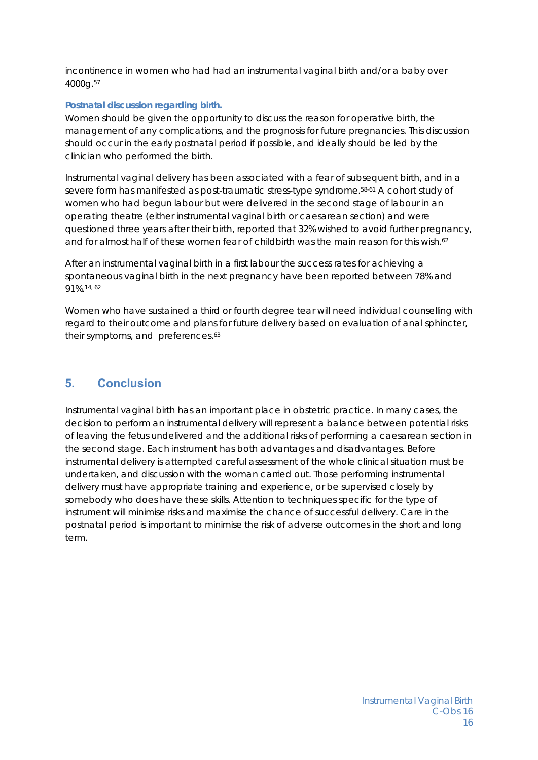incontinence in women who had had an instrumental vaginal birth and/or a baby over 4000g.57

#### *Postnatal discussion regarding birth.*

Women should be given the opportunity to discuss the reason for operative birth, the management of any complications, and the prognosis for future pregnancies. This discussion should occur in the early postnatal period if possible, and ideally should be led by the clinician who performed the birth.

Instrumental vaginal delivery has been associated with a fear of subsequent birth, and in a severe form has manifested as post-traumatic stress-type syndrome.58-61 A cohort study of women who had begun labour but were delivered in the second stage of labour in an operating theatre (either instrumental vaginal birth or caesarean section) and were questioned three years after their birth, reported that 32% wished to avoid further pregnancy, and for almost half of these women fear of childbirth was the main reason for this wish.<sup>62</sup>

After an instrumental vaginal birth in a first labour the success rates for achieving a spontaneous vaginal birth in the next pregnancy have been reported between 78% and 91%.14, 62

Women who have sustained a third or fourth degree tear will need individual counselling with regard to their outcome and plans for future delivery based on evaluation of anal sphincter, their symptoms, and preferences.<sup>63</sup>

### **5. Conclusion**

Instrumental vaginal birth has an important place in obstetric practice. In many cases, the decision to perform an instrumental delivery will represent a balance between potential risks of leaving the fetus undelivered and the additional risks of performing a caesarean section in the second stage. Each instrument has both advantages and disadvantages. Before instrumental delivery is attempted careful assessment of the whole clinical situation must be undertaken, and discussion with the woman carried out. Those performing instrumental delivery must have appropriate training and experience, or be supervised closely by somebody who does have these skills. Attention to techniques specific for the type of instrument will minimise risks and maximise the chance of successful delivery. Care in the postnatal period is important to minimise the risk of adverse outcomes in the short and long term.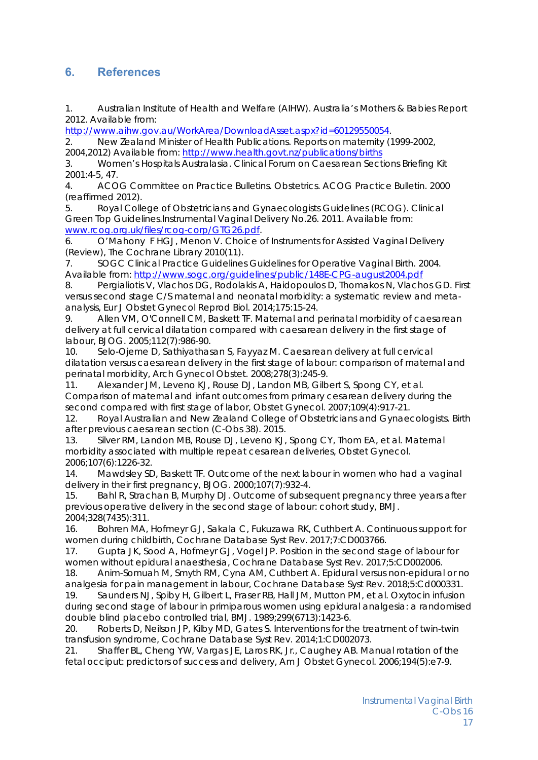# **6. References**

1. Australian Institute of Health and Welfare (AIHW). Australia's Mothers & Babies Report 2012. Available from:

http://www.aihw.gov.au/WorkArea/DownloadAsset.aspx?id=60129550054.

2. New Zealand Minister of Health Publications. Reports on maternity (1999-2002, 2004,2012) Available from: http://www.health.govt.nz/publications/births

3. Women's Hospitals Australasia. Clinical Forum on Caesarean Sections Briefing Kit 2001:4-5, 47.

4. ACOG Committee on Practice Bulletins. Obstetrics. ACOG Practice Bulletin. 2000 (reaffirmed 2012).

5. Royal College of Obstetricians and Gynaecologists Guidelines (RCOG). Clinical Green Top Guidelines.Instrumental Vaginal Delivery No.26. 2011. Available from: www.rcog.org.uk/files/rcog-corp/GTG26.pdf.

6. O'Mahony F HGJ, Menon V. Choice of Instruments for Assisted Vaginal Delivery (Review), The Cochrane Library 2010(11).

7. SOGC Clinical Practice Guidelines Guidelines for Operative Vaginal Birth. 2004. Available from: http://www.sogc.org/guidelines/public/148E-CPG-august2004.pdf

8. Pergialiotis V, Vlachos DG, Rodolakis A, Haidopoulos D, Thomakos N, Vlachos GD. First versus second stage C/S maternal and neonatal morbidity: a systematic review and metaanalysis, Eur J Obstet Gynecol Reprod Biol. 2014;175:15-24.

9. Allen VM, O'Connell CM, Baskett TF. Maternal and perinatal morbidity of caesarean delivery at full cervical dilatation compared with caesarean delivery in the first stage of labour, BJOG. 2005;112(7):986-90.

10. Selo-Ojeme D, Sathiyathasan S, Fayyaz M. Caesarean delivery at full cervical dilatation versus caesarean delivery in the first stage of labour: comparison of maternal and perinatal morbidity, Arch Gynecol Obstet. 2008;278(3):245-9.

11. Alexander JM, Leveno KJ, Rouse DJ, Landon MB, Gilbert S, Spong CY, et al. Comparison of maternal and infant outcomes from primary cesarean delivery during the second compared with first stage of labor, Obstet Gynecol. 2007;109(4):917-21.

12. Royal Australian and New Zealand College of Obstetricians and Gynaecologists. Birth after previous caesarean section (C-Obs 38). 2015.

13. Silver RM, Landon MB, Rouse DJ, Leveno KJ, Spong CY, Thom EA, et al. Maternal morbidity associated with multiple repeat cesarean deliveries, Obstet Gynecol. 2006;107(6):1226-32.

14. Mawdsley SD, Baskett TF. Outcome of the next labour in women who had a vaginal delivery in their first pregnancy, BJOG. 2000;107(7):932-4.

15. Bahl R, Strachan B, Murphy DJ. Outcome of subsequent pregnancy three years after previous operative delivery in the second stage of labour: cohort study, BMJ. 2004;328(7435):311.

16. Bohren MA, Hofmeyr GJ, Sakala C, Fukuzawa RK, Cuthbert A. Continuous support for women during childbirth, Cochrane Database Syst Rev. 2017;7:CD003766.

17. Gupta JK, Sood A, Hofmeyr GJ, Vogel JP. Position in the second stage of labour for women without epidural anaesthesia, Cochrane Database Syst Rev. 2017;5:CD002006.

18. Anim-Somuah M, Smyth RM, Cyna AM, Cuthbert A. Epidural versus non-epidural or no analgesia for pain management in labour, Cochrane Database Syst Rev. 2018;5:Cd000331.

19. Saunders NJ, Spiby H, Gilbert L, Fraser RB, Hall JM, Mutton PM, et al. Oxytocin infusion during second stage of labour in primiparous women using epidural analgesia: a randomised double blind placebo controlled trial, BMJ. 1989;299(6713):1423-6.

20. Roberts D, Neilson JP, Kilby MD, Gates S. Interventions for the treatment of twin-twin transfusion syndrome, Cochrane Database Syst Rev. 2014;1:CD002073.

21. Shaffer BL, Cheng YW, Vargas JE, Laros RK, Jr., Caughey AB. Manual rotation of the fetal occiput: predictors of success and delivery, Am J Obstet Gynecol. 2006;194(5):e7-9.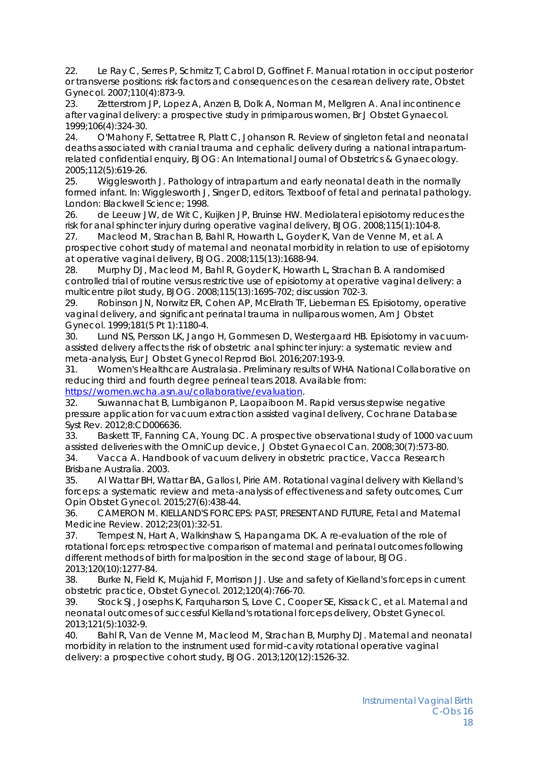22. Le Ray C, Serres P, Schmitz T, Cabrol D, Goffinet F. Manual rotation in occiput posterior or transverse positions: risk factors and consequences on the cesarean delivery rate, Obstet Gynecol. 2007;110(4):873-9.

23. Zetterstrom JP, Lopez A, Anzen B, Dolk A, Norman M, Mellgren A. Anal incontinence after vaginal delivery: a prospective study in primiparous women, Br J Obstet Gynaecol. 1999;106(4):324-30.

24. O'Mahony F, Settatree R, Platt C, Johanson R. Review of singleton fetal and neonatal deaths associated with cranial trauma and cephalic delivery during a national intrapartumrelated confidential enquiry, BJOG: An International Journal of Obstetrics & Gynaecology. 2005;112(5):619-26.

25. Wigglesworth J. Pathology of intrapartum and early neonatal death in the normally formed infant. In: Wigglesworth J, Singer D, editors. Textboof of fetal and perinatal pathology. London: Blackwell Science; 1998.

26. de Leeuw JW, de Wit C, Kuijken JP, Bruinse HW. Mediolateral episiotomy reduces the risk for anal sphincter injury during operative vaginal delivery, BJOG. 2008;115(1):104-8.

27. Macleod M, Strachan B, Bahl R, Howarth L, Goyder K, Van de Venne M, et al. A prospective cohort study of maternal and neonatal morbidity in relation to use of episiotomy at operative vaginal delivery, BJOG. 2008;115(13):1688-94.

28. Murphy DJ, Macleod M, Bahl R, Goyder K, Howarth L, Strachan B. A randomised controlled trial of routine versus restrictive use of episiotomy at operative vaginal delivery: a multicentre pilot study, BJOG. 2008;115(13):1695-702; discussion 702-3.

29. Robinson JN, Norwitz ER, Cohen AP, McElrath TF, Lieberman ES. Episiotomy, operative vaginal delivery, and significant perinatal trauma in nulliparous women, Am J Obstet Gynecol. 1999;181(5 Pt 1):1180-4.

30. Lund NS, Persson LK, Jango H, Gommesen D, Westergaard HB. Episiotomy in vacuumassisted delivery affects the risk of obstetric anal sphincter injury: a systematic review and meta-analysis, Eur J Obstet Gynecol Reprod Biol. 2016;207:193-9.

31. Women's Healthcare Australasia. Preliminary results of WHA National Collaborative on reducing third and fourth degree perineal tears 2018. Available from:

https://women.wcha.asn.au/collaborative/evaluation.

32. Suwannachat B, Lumbiganon P, Laopaiboon M. Rapid versus stepwise negative pressure application for vacuum extraction assisted vaginal delivery, Cochrane Database Syst Rev. 2012;8:CD006636.

33. Baskett TF, Fanning CA, Young DC. A prospective observational study of 1000 vacuum assisted deliveries with the OmniCup device, J Obstet Gynaecol Can. 2008;30(7):573-80. 34. Vacca A. Handbook of vacuum delivery in obstetric practice, Vacca Research Brisbane Australia. 2003.

35. Al Wattar BH, Wattar BA, Gallos I, Pirie AM. Rotational vaginal delivery with Kielland's forceps: a systematic review and meta-analysis of effectiveness and safety outcomes, Curr Opin Obstet Gynecol. 2015;27(6):438-44.

36. CAMERON M. KIELLAND'S FORCEPS: PAST, PRESENT AND FUTURE, Fetal and Maternal Medicine Review. 2012;23(01):32-51.

37. Tempest N, Hart A, Walkinshaw S, Hapangama DK. A re-evaluation of the role of rotational forceps: retrospective comparison of maternal and perinatal outcomes following different methods of birth for malposition in the second stage of labour, BJOG. 2013;120(10):1277-84.

38. Burke N, Field K, Mujahid F, Morrison JJ. Use and safety of Kielland's forceps in current obstetric practice, Obstet Gynecol. 2012;120(4):766-70.

39. Stock SJ, Josephs K, Farquharson S, Love C, Cooper SE, Kissack C, et al. Maternal and neonatal outcomes of successful Kielland's rotational forceps delivery, Obstet Gynecol. 2013;121(5):1032-9.

40. Bahl R, Van de Venne M, Macleod M, Strachan B, Murphy DJ. Maternal and neonatal morbidity in relation to the instrument used for mid-cavity rotational operative vaginal delivery: a prospective cohort study, BJOG. 2013;120(12):1526-32.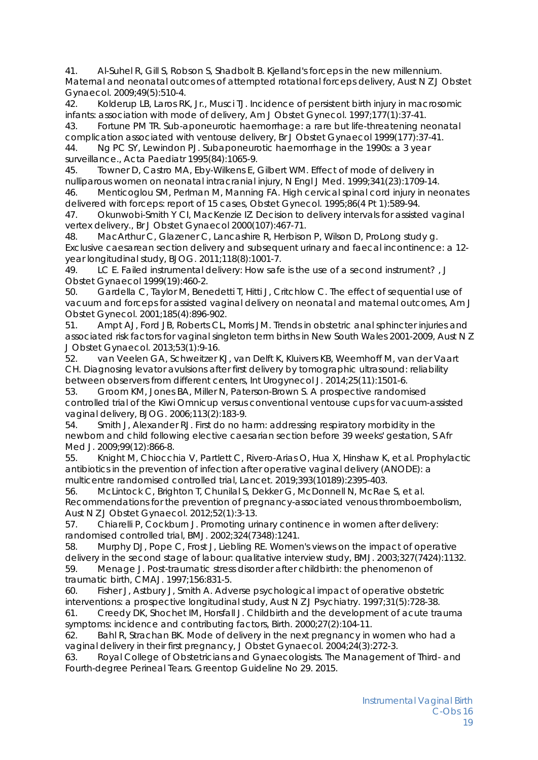41. Al-Suhel R, Gill S, Robson S, Shadbolt B. Kjelland's forceps in the new millennium. Maternal and neonatal outcomes of attempted rotational forceps delivery, Aust N Z J Obstet Gynaecol. 2009;49(5):510-4.

42. Kolderup LB, Laros RK, Jr., Musci TJ. Incidence of persistent birth injury in macrosomic infants: association with mode of delivery, Am J Obstet Gynecol. 1997;177(1):37-41.

43. Fortune PM TR. Sub-aponeurotic haemorrhage: a rare but life-threatening neonatal complication associated with ventouse delivery, Br J Obstet Gynaecol 1999(177):37-41.

44. Ng PC SY, Lewindon PJ. Subaponeurotic haemorrhage in the 1990s: a 3 year surveillance., Acta Paediatr 1995(84):1065-9.

45. Towner D, Castro MA, Eby-Wilkens E, Gilbert WM. Effect of mode of delivery in nulliparous women on neonatal intracranial injury, N Engl J Med. 1999;341(23):1709-14. 46. Menticoglou SM, Perlman M, Manning FA. High cervical spinal cord injury in neonates

delivered with forceps: report of 15 cases, Obstet Gynecol. 1995;86(4 Pt 1):589-94.

47. Okunwobi-Smith Y CI, MacKenzie IZ. Decision to delivery intervals for assisted vaginal vertex delivery., Br J Obstet Gynaecol 2000(107):467-71.

48. MacArthur C, Glazener C, Lancashire R, Herbison P, Wilson D, ProLong study g. Exclusive caesarean section delivery and subsequent urinary and faecal incontinence: a 12 year longitudinal study, BJOG. 2011;118(8):1001-7.

49. LC E. Failed instrumental delivery: How safe is the use of a second instrument? , J Obstet Gynaecol 1999(19):460-2.

50. Gardella C, Taylor M, Benedetti T, Hitti J, Critchlow C. The effect of sequential use of vacuum and forceps for assisted vaginal delivery on neonatal and maternal outcomes, Am J Obstet Gynecol. 2001;185(4):896-902.

51. Ampt AJ, Ford JB, Roberts CL, Morris JM. Trends in obstetric anal sphincter injuries and associated risk factors for vaginal singleton term births in New South Wales 2001-2009, Aust N Z J Obstet Gynaecol. 2013;53(1):9-16.

52. van Veelen GA, Schweitzer KJ, van Delft K, Kluivers KB, Weemhoff M, van der Vaart CH. Diagnosing levator avulsions after first delivery by tomographic ultrasound: reliability between observers from different centers, Int Urogynecol J. 2014;25(11):1501-6.

53. Groom KM, Jones BA, Miller N, Paterson-Brown S. A prospective randomised controlled trial of the Kiwi Omnicup versus conventional ventouse cups for vacuum-assisted vaginal delivery, BJOG. 2006;113(2):183-9.

54. Smith J, Alexander RJ. First do no harm: addressing respiratory morbidity in the newborn and child following elective caesarian section before 39 weeks' gestation, S Afr Med J. 2009;99(12):866-8.

55. Knight M, Chiocchia V, Partlett C, Rivero-Arias O, Hua X, Hinshaw K, et al. Prophylactic antibiotics in the prevention of infection after operative vaginal delivery (ANODE): a multicentre randomised controlled trial, Lancet. 2019;393(10189):2395-403.

56. McLintock C, Brighton T, Chunilal S, Dekker G, McDonnell N, McRae S, et al. Recommendations for the prevention of pregnancy-associated venous thromboembolism, Aust N Z J Obstet Gynaecol. 2012;52(1):3-13.

57. Chiarelli P, Cockburn J. Promoting urinary continence in women after delivery: randomised controlled trial, BMJ. 2002;324(7348):1241.

58. Murphy DJ, Pope C, Frost J, Liebling RE. Women's views on the impact of operative delivery in the second stage of labour: qualitative interview study, BMJ. 2003;327(7424):1132. 59. Menage J. Post-traumatic stress disorder after childbirth: the phenomenon of traumatic birth, CMAJ. 1997;156:831-5.

60. Fisher J, Astbury J, Smith A. Adverse psychological impact of operative obstetric interventions: a prospective longitudinal study, Aust N Z J Psychiatry. 1997;31(5):728-38.

61. Creedy DK, Shochet IM, Horsfall J. Childbirth and the development of acute trauma symptoms: incidence and contributing factors, Birth. 2000;27(2):104-11.

62. Bahl R, Strachan BK. Mode of delivery in the next pregnancy in women who had a vaginal delivery in their first pregnancy, J Obstet Gynaecol. 2004;24(3):272-3.

63. Royal College of Obstetricians and Gynaecologists. The Management of Third- and Fourth-degree Perineal Tears. Greentop Guideline No 29. 2015.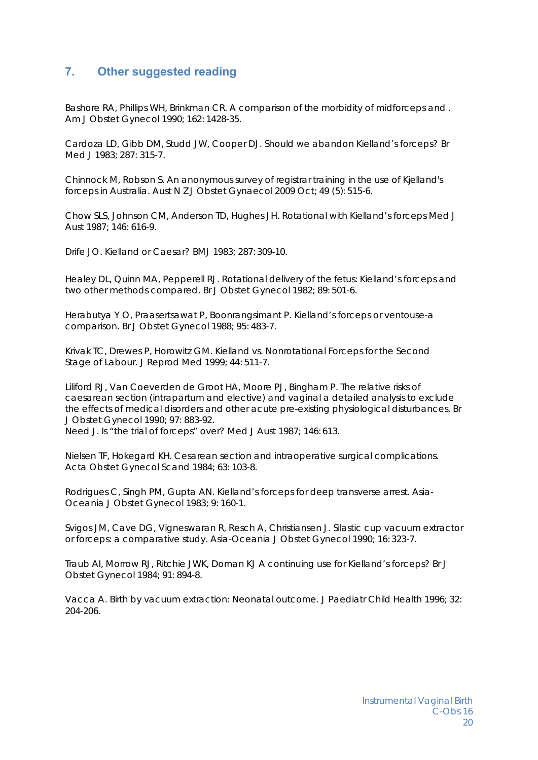### **7. Other suggested reading**

Bashore RA, Phillips WH, Brinkman CR. A comparison of the morbidity of midforceps and . Am J Obstet Gynecol 1990; 162: 1428-35.

Cardoza LD, Gibb DM, Studd JW, Cooper DJ. Should we abandon Kielland's forceps? Br Med 11983; 287; 315-7.

Chinnock M, Robson S. An anonymous survey of registrar training in the use of Kjelland's forceps in Australia. Aust N Z J Obstet Gynaecol 2009 Oct; 49 (5): 515-6.

Chow SLS, Johnson CM, Anderson TD, Hughes JH. Rotational with Kielland's forceps Med J Aust 1987; 146: 616-9.

Drife JO. Kielland or Caesar? BMJ 1983; 287: 309-10.

Healey DL, Quinn MA, Pepperell RJ. Rotational delivery of the fetus: Kielland's forceps and two other methods compared. Br J Obstet Gynecol 1982; 89: 501-6.

Herabutya Y O, Praasertsawat P, Boonrangsimant P. Kielland's forceps or ventouse-a comparison. Br J Obstet Gynecol 1988; 95: 483-7.

Krivak TC, Drewes P, Horowitz GM. Kielland vs. Nonrotational Forceps for the Second Stage of Labour. J Reprod Med 1999; 44: 511-7.

Liliford RJ, Van Coeverden de Groot HA, Moore PJ, Bingham P. The relative risks of caesarean section (intrapartum and elective) and vaginal a detailed analysis to exclude the effects of medical disorders and other acute pre-existing physiological disturbances. Br J Obstet Gynecol 1990; 97: 883-92.

Need J. Is "the trial of forceps" over? Med J Aust 1987; 146: 613.

Nielsen TF, Hokegard KH. Cesarean section and intraoperative surgical complications. Acta Obstet Gynecol Scand 1984; 63: 103-8.

Rodrigues C, Singh PM, Gupta AN. Kielland's forceps for deep transverse arrest. Asia-Oceania J Obstet Gynecol 1983; 9: 160-1.

Svigos JM, Cave DG, Vigneswaran R, Resch A, Christiansen J. Silastic cup vacuum extractor or forceps: a comparative study. Asia-Oceania J Obstet Gynecol 1990; 16: 323-7.

Traub AI, Morrow RJ, Ritchie JWK, Dornan KJ A continuing use for Kielland's forceps? Br J Obstet Gynecol 1984; 91: 894-8.

Vacca A. Birth by vacuum extraction: Neonatal outcome. J Paediatr Child Health 1996; 32: 204-206.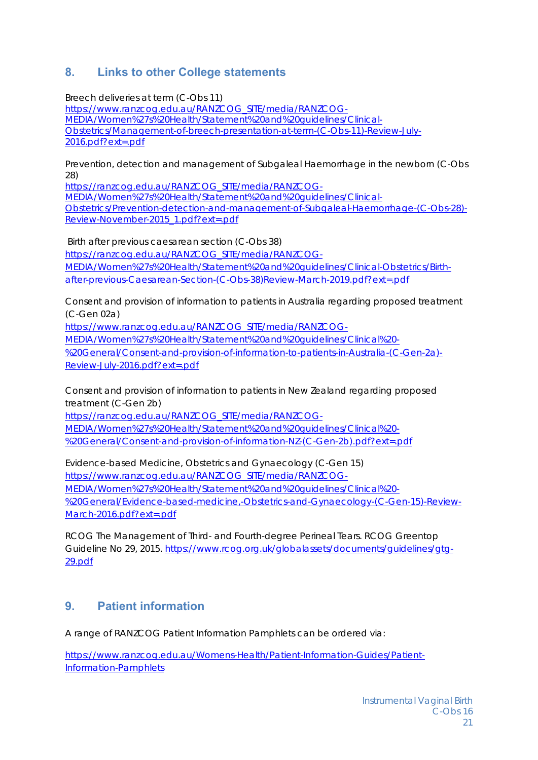# **8. Links to other College statements**

Breech deliveries at term (C-Obs 11) https://www.ranzcog.edu.au/RANZCOG\_SITE/media/RANZCOG-MEDIA/Women%27s%20Health/Statement%20and%20guidelines/Clinical-Obstetrics/Management-of-breech-presentation-at-term-(C-Obs-11)-Review-July-2016.pdf?ext=.pdf

Prevention, detection and management of Subgaleal Haemorrhage in the newborn (C-Obs 28)

https://ranzcog.edu.au/RANZCOG\_SITE/media/RANZCOG-MEDIA/Women%27s%20Health/Statement%20and%20guidelines/Clinical-Obstetrics/Prevention-detection-and-management-of-Subgaleal-Haemorrhage-(C-Obs-28)- Review-November-2015\_1.pdf?ext=.pdf

 Birth after previous caesarean section (C-Obs 38) https://ranzcog.edu.au/RANZCOG\_SITE/media/RANZCOG-MEDIA/Women%27s%20Health/Statement%20and%20guidelines/Clinical-Obstetrics/Birthafter-previous-Caesarean-Section-(C-Obs-38)Review-March-2019.pdf?ext=.pdf

Consent and provision of information to patients in Australia regarding proposed treatment (C-Gen 02a)

https://www.ranzcog.edu.au/RANZCOG\_SITE/media/RANZCOG-

MEDIA/Women%27s%20Health/Statement%20and%20guidelines/Clinical%20-

%20General/Consent-and-provision-of-information-to-patients-in-Australia-(C-Gen-2a)- Review-July-2016.pdf?ext=.pdf

Consent and provision of information to patients in New Zealand regarding proposed treatment (C-Gen 2b)

https://ranzcog.edu.au/RANZCOG\_SITE/media/RANZCOG-MEDIA/Women%27s%20Health/Statement%20and%20guidelines/Clinical%20- %20General/Consent-and-provision-of-information-NZ-(C-Gen-2b).pdf?ext=.pdf

Evidence-based Medicine, Obstetrics and Gynaecology (C-Gen 15) https://www.ranzcog.edu.au/RANZCOG\_SITE/media/RANZCOG-MEDIA/Women%27s%20Health/Statement%20and%20guidelines/Clinical%20- %20General/Evidence-based-medicine,-Obstetrics-and-Gynaecology-(C-Gen-15)-Review-March-2016.pdf?ext=.pdf

RCOG The Management of Third- and Fourth-degree Perineal Tears. RCOG Greentop Guideline No 29, 2015. https://www.rcog.org.uk/globalassets/documents/guidelines/gtg-29.pdf

# **9. Patient information**

A range of RANZCOG Patient Information Pamphlets can be ordered via:

https://www.ranzcog.edu.au/Womens-Health/Patient-Information-Guides/Patient-Information-Pamphlets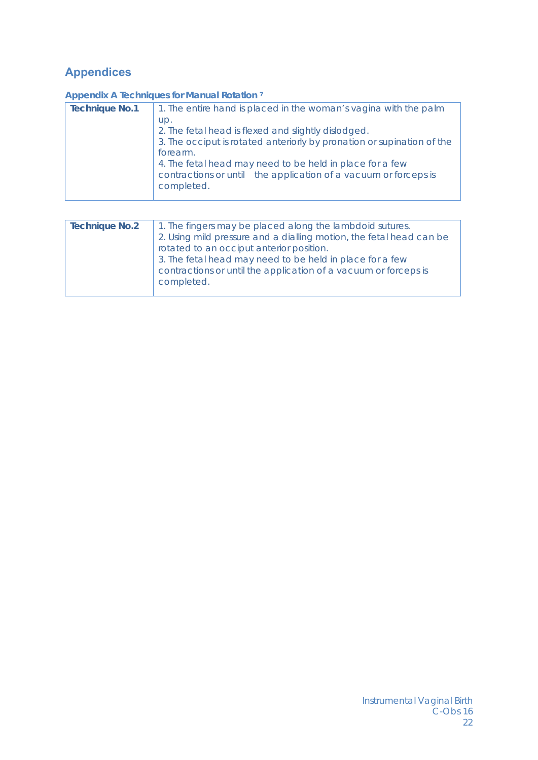# **Appendices**

#### **Appendix A Techniques for Manual Rotation 7**

| <b>Technique No.1</b> | 1. The entire hand is placed in the woman's vagina with the palm              |
|-----------------------|-------------------------------------------------------------------------------|
|                       | up.                                                                           |
|                       | 2. The fetal head is flexed and slightly dislodged.                           |
|                       | 3. The occiput is rotated anteriorly by pronation or supination of the        |
|                       | forearm.                                                                      |
|                       | 4. The fetal head may need to be held in place for a few                      |
|                       | contractions or until the application of a vacuum or forceps is<br>completed. |
|                       |                                                                               |

| <b>Technique No.2</b> | 1. The fingers may be placed along the lambdoid sutures.<br>2. Using mild pressure and a dialling motion, the fetal head can be<br>rotated to an occiput anterior position. |
|-----------------------|-----------------------------------------------------------------------------------------------------------------------------------------------------------------------------|
|                       | 3. The fetal head may need to be held in place for a few<br>contractions or until the application of a vacuum or forceps is<br>completed.                                   |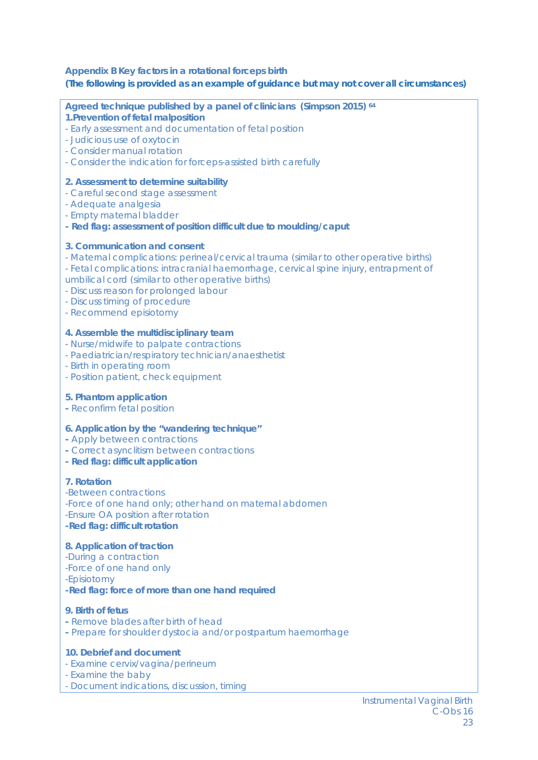#### **Appendix B Key factors in a rotational forceps birth (The following is provided as an example of guidance but may not cover all circumstances)**

**Agreed technique published by a panel of clinicians (Simpson 2015) 64**

#### **1.Prevention of fetal malposition**

- Early assessment and documentation of fetal position
- Judicious use of oxytocin
- Consider manual rotation
- Consider the indication for forceps-assisted birth carefully

#### **2. Assessment to determine suitability**

- Careful second stage assessment
- Adequate analgesia
- Empty maternal bladder
- **Red flag: assessment of position difficult due to moulding/caput**

#### **3. Communication and consent**

- Maternal complications: perineal/cervical trauma (similar to other operative births) - Fetal complications: intracranial haemorrhage, cervical spine injury, entrapment of umbilical cord (similar to other operative births)
- Discuss reason for prolonged labour
- Discuss timing of procedure
- Recommend episiotomy

#### **4. Assemble the multidisciplinary team**

- Nurse/midwife to palpate contractions
- Paediatrician/respiratory technician/anaesthetist
- Birth in operating room
- Position patient, check equipment

#### **5. Phantom application**

**-** Reconfirm fetal position

#### **6. Application by the "wandering technique"**

- Apply between contractions
- Correct asynclitism between contractions
- **Red flag: difficult application**

#### **7. Rotation**

-Between contractions -Force of one hand only; other hand on maternal abdomen -Ensure OA position after rotation **-Red flag: difficult rotation** 

#### **8. Application of traction**

- -During a contraction -Force of one hand only
- -Episiotomy

#### **-Red flag: force of more than one hand required**

#### **9. Birth of fetus**

- Remove blades after birth of head
- Prepare for shoulder dystocia and/or postpartum haemorrhage

#### **10. Debrief and document**

- Examine cervix/vagina/perineum
- Examine the baby
- Document indications, discussion, timing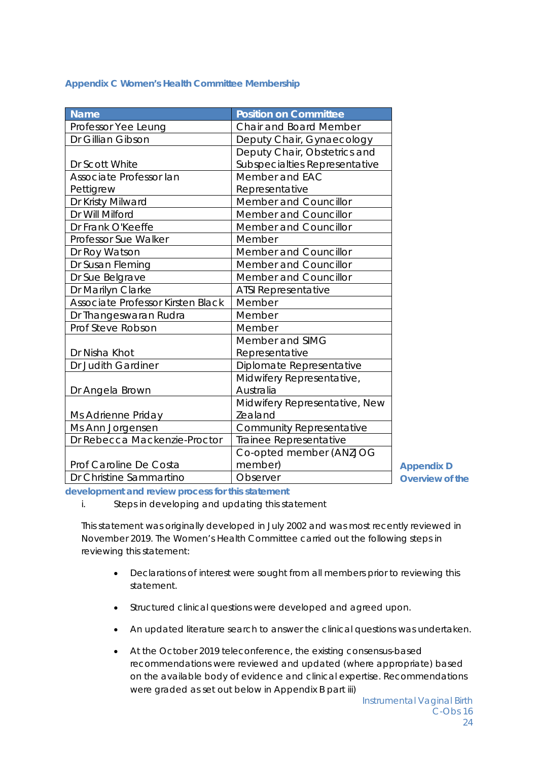**Appendix C Women's Health Committee Membership** 

| <b>Name</b>                       | <b>Position on Committee</b>    |
|-----------------------------------|---------------------------------|
| Professor Yee Leung               | Chair and Board Member          |
| Dr Gillian Gibson                 | Deputy Chair, Gynaecology       |
|                                   | Deputy Chair, Obstetrics and    |
| Dr Scott White                    | Subspecialties Representative   |
| Associate Professor lan           | Member and EAC                  |
| Pettigrew                         | Representative                  |
| Dr Kristy Milward                 | Member and Councillor           |
| Dr Will Milford                   | Member and Councillor           |
| Dr Frank O'Keeffe                 | Member and Councillor           |
| Professor Sue Walker              | Member                          |
| Dr Roy Watson                     | Member and Councillor           |
| Dr Susan Fleming                  | Member and Councillor           |
| Dr Sue Belgrave                   | Member and Councillor           |
| Dr Marilyn Clarke                 | ATSI Representative             |
| Associate Professor Kirsten Black | Member                          |
| Dr Thangeswaran Rudra             | Member                          |
| Prof Steve Robson                 | Member                          |
|                                   | Member and SIMG                 |
| Dr Nisha Khot                     | Representative                  |
| Dr Judith Gardiner                | Diplomate Representative        |
|                                   | Midwifery Representative,       |
| Dr Angela Brown                   | Australia                       |
|                                   | Midwifery Representative, New   |
| Ms Adrienne Priday                | Zealand                         |
| Ms Ann Jorgensen                  | <b>Community Representative</b> |
| Dr Rebecca Mackenzie-Proctor      | Trainee Representative          |
|                                   | Co-opted member (ANZJOG         |
| Prof Caroline De Costa            | member)                         |
| Dr Christine Sammartino           | Observer                        |

**Appendix D Overview of the** 

**development and review process for this statement** 

*i. Steps in developing and updating this statement* 

This statement was originally developed in July 2002 and was most recently reviewed in November 2019. The Women's Health Committee carried out the following steps in reviewing this statement:

- Declarations of interest were sought from all members prior to reviewing this statement.
- Structured clinical questions were developed and agreed upon.
- An updated literature search to answer the clinical questions was undertaken.
- At the October 2019 teleconference, the existing consensus-based recommendations were reviewed and updated (where appropriate) based on the available body of evidence and clinical expertise. Recommendations were graded as set out below in Appendix B part iii)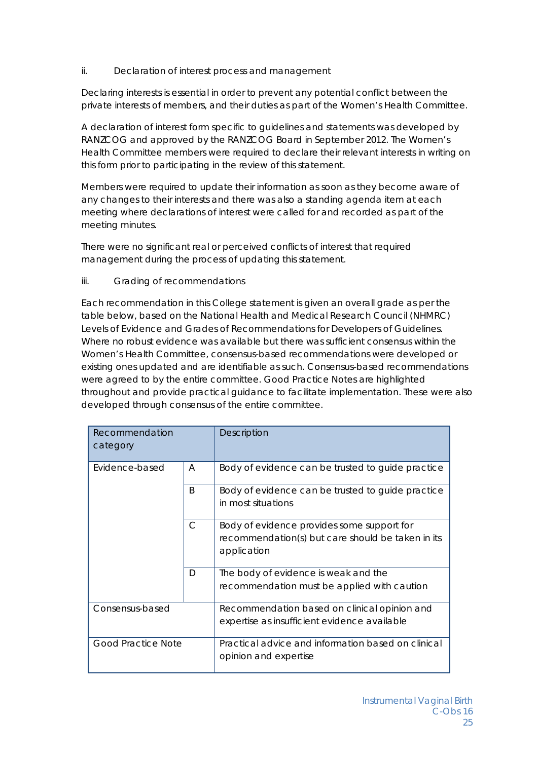#### *ii. Declaration of interest process and management*

Declaring interests is essential in order to prevent any potential conflict between the private interests of members, and their duties as part of the Women's Health Committee.

A declaration of interest form specific to guidelines and statements was developed by RANZCOG and approved by the RANZCOG Board in September 2012. The Women's Health Committee members were required to declare their relevant interests in writing on this form prior to participating in the review of this statement.

Members were required to update their information as soon as they become aware of any changes to their interests and there was also a standing agenda item at each meeting where declarations of interest were called for and recorded as part of the meeting minutes.

There were no significant real or perceived conflicts of interest that required management during the process of updating this statement.

#### *iii. Grading of recommendations*

Each recommendation in this College statement is given an overall grade as per the table below, based on the National Health and Medical Research Council (NHMRC) Levels of Evidence and Grades of Recommendations for Developers of Guidelines. Where no robust evidence was available but there was sufficient consensus within the Women's Health Committee, consensus-based recommendations were developed or existing ones updated and are identifiable as such. Consensus-based recommendations were agreed to by the entire committee. Good Practice Notes are highlighted throughout and provide practical guidance to facilitate implementation. These were also developed through consensus of the entire committee.

| Recommendation<br>category |              | Description                                                                                                    |
|----------------------------|--------------|----------------------------------------------------------------------------------------------------------------|
| Evidence-based             | A            | Body of evidence can be trusted to guide practice                                                              |
|                            | <sub>B</sub> | Body of evidence can be trusted to guide practice<br>in most situations                                        |
|                            | $\mathsf{C}$ | Body of evidence provides some support for<br>recommendation(s) but care should be taken in its<br>application |
|                            | D            | The body of evidence is weak and the<br>recommendation must be applied with caution                            |
| Consensus-based            |              | Recommendation based on clinical opinion and<br>expertise as insufficient evidence available                   |
| <b>Good Practice Note</b>  |              | Practical advice and information based on clinical<br>opinion and expertise                                    |